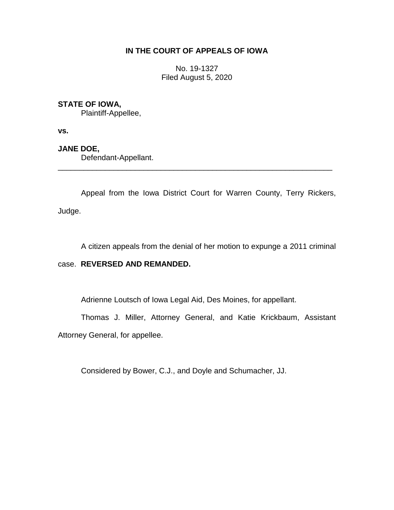# **IN THE COURT OF APPEALS OF IOWA**

No. 19-1327 Filed August 5, 2020

## **STATE OF IOWA,**

Plaintiff-Appellee,

**vs.**

## **JANE DOE,**

Defendant-Appellant.

Appeal from the Iowa District Court for Warren County, Terry Rickers, Judge.

\_\_\_\_\_\_\_\_\_\_\_\_\_\_\_\_\_\_\_\_\_\_\_\_\_\_\_\_\_\_\_\_\_\_\_\_\_\_\_\_\_\_\_\_\_\_\_\_\_\_\_\_\_\_\_\_\_\_\_\_\_\_\_\_

A citizen appeals from the denial of her motion to expunge a 2011 criminal

### case. **REVERSED AND REMANDED.**

Adrienne Loutsch of Iowa Legal Aid, Des Moines, for appellant.

Thomas J. Miller, Attorney General, and Katie Krickbaum, Assistant Attorney General, for appellee.

Considered by Bower, C.J., and Doyle and Schumacher, JJ.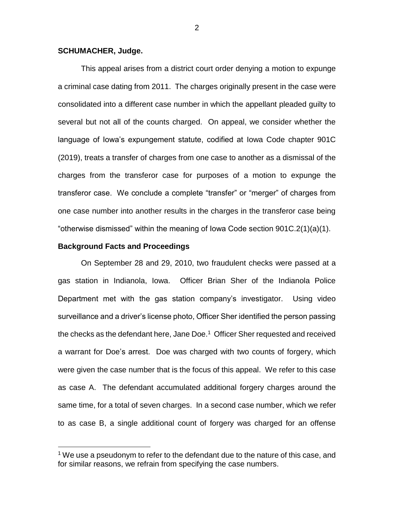#### **SCHUMACHER, Judge.**

This appeal arises from a district court order denying a motion to expunge a criminal case dating from 2011. The charges originally present in the case were consolidated into a different case number in which the appellant pleaded guilty to several but not all of the counts charged. On appeal, we consider whether the language of Iowa's expungement statute, codified at Iowa Code chapter 901C (2019), treats a transfer of charges from one case to another as a dismissal of the charges from the transferor case for purposes of a motion to expunge the transferor case. We conclude a complete "transfer" or "merger" of charges from one case number into another results in the charges in the transferor case being "otherwise dismissed" within the meaning of Iowa Code section 901C.2(1)(a)(1).

#### **Background Facts and Proceedings**

 $\overline{a}$ 

On September 28 and 29, 2010, two fraudulent checks were passed at a gas station in Indianola, Iowa. Officer Brian Sher of the Indianola Police Department met with the gas station company's investigator. Using video surveillance and a driver's license photo, Officer Sher identified the person passing the checks as the defendant here, Jane Doe.<sup>1</sup> Officer Sher requested and received a warrant for Doe's arrest. Doe was charged with two counts of forgery, which were given the case number that is the focus of this appeal. We refer to this case as case A. The defendant accumulated additional forgery charges around the same time, for a total of seven charges. In a second case number, which we refer to as case B, a single additional count of forgery was charged for an offense

 $1$  We use a pseudonym to refer to the defendant due to the nature of this case, and for similar reasons, we refrain from specifying the case numbers.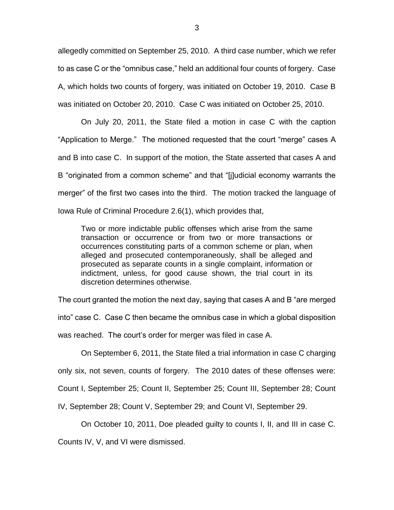allegedly committed on September 25, 2010. A third case number, which we refer to as case C or the "omnibus case," held an additional four counts of forgery. Case A, which holds two counts of forgery, was initiated on October 19, 2010. Case B was initiated on October 20, 2010. Case C was initiated on October 25, 2010.

On July 20, 2011, the State filed a motion in case C with the caption "Application to Merge." The motioned requested that the court "merge" cases A and B into case C. In support of the motion, the State asserted that cases A and B "originated from a common scheme" and that "[j]udicial economy warrants the merger" of the first two cases into the third. The motion tracked the language of Iowa Rule of Criminal Procedure 2.6(1), which provides that,

Two or more indictable public offenses which arise from the same transaction or occurrence or from two or more transactions or occurrences constituting parts of a common scheme or plan, when alleged and prosecuted contemporaneously, shall be alleged and prosecuted as separate counts in a single complaint, information or indictment, unless, for good cause shown, the trial court in its discretion determines otherwise.

The court granted the motion the next day, saying that cases A and B "are merged into" case C. Case C then became the omnibus case in which a global disposition was reached. The court's order for merger was filed in case A.

On September 6, 2011, the State filed a trial information in case C charging

only six, not seven, counts of forgery. The 2010 dates of these offenses were:

Count I, September 25; Count II, September 25; Count III, September 28; Count

IV, September 28; Count V, September 29; and Count VI, September 29.

On October 10, 2011, Doe pleaded guilty to counts I, II, and III in case C.

Counts IV, V, and VI were dismissed.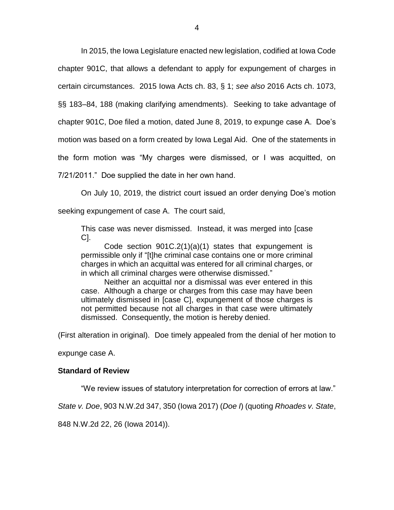In 2015, the Iowa Legislature enacted new legislation, codified at Iowa Code chapter 901C, that allows a defendant to apply for expungement of charges in certain circumstances. 2015 Iowa Acts ch. 83, § 1; *see also* 2016 Acts ch. 1073, §§ 183–84, 188 (making clarifying amendments). Seeking to take advantage of chapter 901C, Doe filed a motion, dated June 8, 2019, to expunge case A. Doe's motion was based on a form created by Iowa Legal Aid. One of the statements in the form motion was "My charges were dismissed, or I was acquitted, on

7/21/2011." Doe supplied the date in her own hand.

On July 10, 2019, the district court issued an order denying Doe's motion seeking expungement of case A. The court said,

This case was never dismissed. Instead, it was merged into [case C].

Code section  $901C.2(1)(a)(1)$  states that expungement is permissible only if "[t]he criminal case contains one or more criminal charges in which an acquittal was entered for all criminal charges, or in which all criminal charges were otherwise dismissed."

Neither an acquittal nor a dismissal was ever entered in this case. Although a charge or charges from this case may have been ultimately dismissed in [case C], expungement of those charges is not permitted because not all charges in that case were ultimately dismissed. Consequently, the motion is hereby denied.

(First alteration in original). Doe timely appealed from the denial of her motion to

expunge case A.

### **Standard of Review**

"We review issues of statutory interpretation for correction of errors at law."

*State v. Doe*, 903 N.W.2d 347, 350 (Iowa 2017) (*Doe I*) (quoting *Rhoades v. State*,

848 N.W.2d 22, 26 (Iowa 2014)).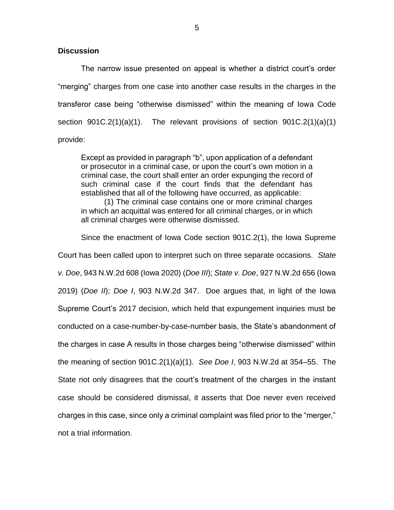### **Discussion**

The narrow issue presented on appeal is whether a district court's order "merging" charges from one case into another case results in the charges in the transferor case being "otherwise dismissed" within the meaning of Iowa Code section  $901C.2(1)(a)(1)$ . The relevant provisions of section  $901C.2(1)(a)(1)$ provide:

Except as provided in paragraph "b", upon application of a defendant or prosecutor in a criminal case, or upon the court's own motion in a criminal case, the court shall enter an order expunging the record of such criminal case if the court finds that the defendant has established that all of the following have occurred, as applicable:

(1) The criminal case contains one or more criminal charges in which an acquittal was entered for all criminal charges, or in which all criminal charges were otherwise dismissed.

Since the enactment of Iowa Code section 901C.2(1), the Iowa Supreme Court has been called upon to interpret such on three separate occasions. *State v. Doe*, 943 N.W.2d 608 (Iowa 2020) (*Doe III*); *State v. Doe*, 927 N.W.2d 656 (Iowa 2019) (*Doe II*); *Doe I*, 903 N.W.2d 347. Doe argues that, in light of the Iowa Supreme Court's 2017 decision, which held that expungement inquiries must be conducted on a case-number-by-case-number basis, the State's abandonment of the charges in case A results in those charges being "otherwise dismissed" within the meaning of section 901C.2(1)(a)(1). *See Doe I*, 903 N.W.2d at 354–55. The State not only disagrees that the court's treatment of the charges in the instant case should be considered dismissal, it asserts that Doe never even received charges in this case, since only a criminal complaint was filed prior to the "merger," not a trial information.

5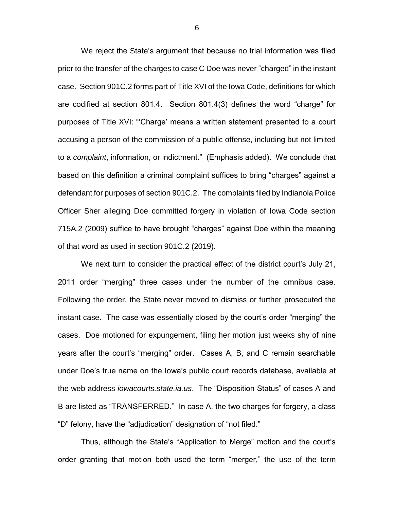We reject the State's argument that because no trial information was filed prior to the transfer of the charges to case C Doe was never "charged" in the instant case. Section 901C.2 forms part of Title XVI of the Iowa Code, definitions for which are codified at section 801.4. Section 801.4(3) defines the word "charge" for purposes of Title XVI: "'Charge' means a written statement presented to a court accusing a person of the commission of a public offense, including but not limited to a *complaint*, information, or indictment." (Emphasis added). We conclude that based on this definition a criminal complaint suffices to bring "charges" against a defendant for purposes of section 901C.2. The complaints filed by Indianola Police Officer Sher alleging Doe committed forgery in violation of Iowa Code section 715A.2 (2009) suffice to have brought "charges" against Doe within the meaning of that word as used in section 901C.2 (2019).

We next turn to consider the practical effect of the district court's July 21, 2011 order "merging" three cases under the number of the omnibus case. Following the order, the State never moved to dismiss or further prosecuted the instant case. The case was essentially closed by the court's order "merging" the cases. Doe motioned for expungement, filing her motion just weeks shy of nine years after the court's "merging" order. Cases A, B, and C remain searchable under Doe's true name on the Iowa's public court records database, available at the web address *iowacourts.state.ia.us*. The "Disposition Status" of cases A and B are listed as "TRANSFERRED." In case A, the two charges for forgery, a class "D" felony, have the "adjudication" designation of "not filed."

Thus, although the State's "Application to Merge" motion and the court's order granting that motion both used the term "merger," the use of the term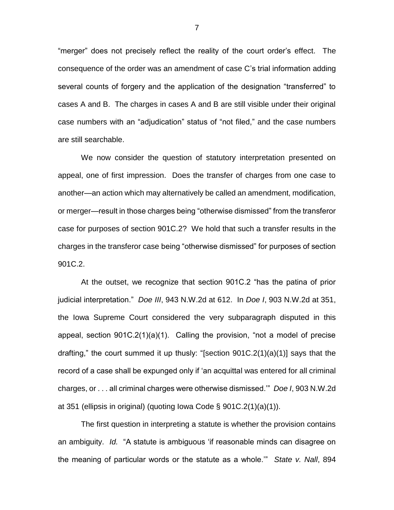"merger" does not precisely reflect the reality of the court order's effect. The consequence of the order was an amendment of case C's trial information adding several counts of forgery and the application of the designation "transferred" to cases A and B. The charges in cases A and B are still visible under their original case numbers with an "adjudication" status of "not filed," and the case numbers are still searchable.

We now consider the question of statutory interpretation presented on appeal, one of first impression. Does the transfer of charges from one case to another—an action which may alternatively be called an amendment, modification, or merger—result in those charges being "otherwise dismissed" from the transferor case for purposes of section 901C.2? We hold that such a transfer results in the charges in the transferor case being "otherwise dismissed" for purposes of section 901C.2.

At the outset, we recognize that section 901C.2 "has the patina of prior judicial interpretation." *Doe III*, 943 N.W.2d at 612. In *Doe I*, 903 N.W.2d at 351, the Iowa Supreme Court considered the very subparagraph disputed in this appeal, section 901C.2(1)(a)(1). Calling the provision, "not a model of precise drafting," the court summed it up thusly: "[section 901C.2(1)(a)(1)] says that the record of a case shall be expunged only if 'an acquittal was entered for all criminal charges, or . . . all criminal charges were otherwise dismissed.'" *Doe I*, 903 N.W.2d at 351 (ellipsis in original) (quoting Iowa Code § 901C.2(1)(a)(1)).

The first question in interpreting a statute is whether the provision contains an ambiguity. *Id.* "A statute is ambiguous 'if reasonable minds can disagree on the meaning of particular words or the statute as a whole.'" *State v. Nall*, 894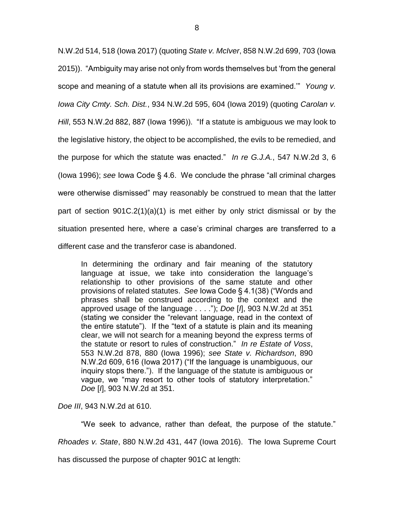N.W.2d 514, 518 (Iowa 2017) (quoting *State v. McIver*, 858 N.W.2d 699, 703 (Iowa 2015)). "Ambiguity may arise not only from words themselves but 'from the general scope and meaning of a statute when all its provisions are examined.'" *Young v. Iowa City Cmty. Sch. Dist.*, 934 N.W.2d 595, 604 (Iowa 2019) (quoting *Carolan v. Hill*, 553 N.W.2d 882, 887 (Iowa 1996)). "If a statute is ambiguous we may look to the legislative history, the object to be accomplished, the evils to be remedied, and the purpose for which the statute was enacted." *In re G.J.A.*, 547 N.W.2d 3, 6 (Iowa 1996); *see* Iowa Code § 4.6. We conclude the phrase "all criminal charges were otherwise dismissed" may reasonably be construed to mean that the latter part of section 901C.2(1)(a)(1) is met either by only strict dismissal or by the situation presented here, where a case's criminal charges are transferred to a different case and the transferor case is abandoned.

In determining the ordinary and fair meaning of the statutory language at issue, we take into consideration the language's relationship to other provisions of the same statute and other provisions of related statutes. *See* Iowa Code § 4.1(38) ("Words and phrases shall be construed according to the context and the approved usage of the language . . . ."); *Doe* [*I*], 903 N.W.2d at 351 (stating we consider the "relevant language, read in the context of the entire statute"). If the "text of a statute is plain and its meaning clear, we will not search for a meaning beyond the express terms of the statute or resort to rules of construction." *In re Estate of Voss*, 553 N.W.2d 878, 880 (Iowa 1996); *see State v. Richardson*, 890 N.W.2d 609, 616 (Iowa 2017) ("If the language is unambiguous, our inquiry stops there."). If the language of the statute is ambiguous or vague, we "may resort to other tools of statutory interpretation." *Doe* [*I*], 903 N.W.2d at 351.

*Doe III*, 943 N.W.2d at 610.

"We seek to advance, rather than defeat, the purpose of the statute." *Rhoades v. State*, 880 N.W.2d 431, 447 (Iowa 2016). The Iowa Supreme Court

has discussed the purpose of chapter 901C at length: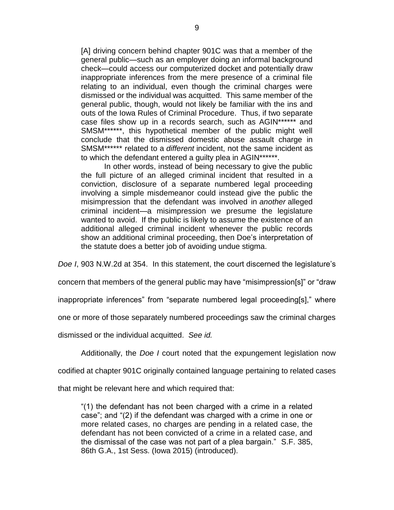[A] driving concern behind chapter 901C was that a member of the general public—such as an employer doing an informal background check—could access our computerized docket and potentially draw inappropriate inferences from the mere presence of a criminal file relating to an individual, even though the criminal charges were dismissed or the individual was acquitted. This same member of the general public, though, would not likely be familiar with the ins and outs of the Iowa Rules of Criminal Procedure. Thus, if two separate case files show up in a records search, such as AGIN\*\*\*\*\*\* and SMSM\*\*\*\*\*\*, this hypothetical member of the public might well conclude that the dismissed domestic abuse assault charge in SMSM\*\*\*\*\*\* related to a *different* incident, not the same incident as to which the defendant entered a guilty plea in AGIN\*\*\*\*\*\*.

In other words, instead of being necessary to give the public the full picture of an alleged criminal incident that resulted in a conviction, disclosure of a separate numbered legal proceeding involving a simple misdemeanor could instead give the public the misimpression that the defendant was involved in *another* alleged criminal incident—a misimpression we presume the legislature wanted to avoid. If the public is likely to assume the existence of an additional alleged criminal incident whenever the public records show an additional criminal proceeding, then Doe's interpretation of the statute does a better job of avoiding undue stigma.

*Doe I*, 903 N.W.2d at 354. In this statement, the court discerned the legislature's

concern that members of the general public may have "misimpression[s]" or "draw

inappropriate inferences" from "separate numbered legal proceeding[s]," where

one or more of those separately numbered proceedings saw the criminal charges

dismissed or the individual acquitted. *See id.* 

Additionally, the *Doe I* court noted that the expungement legislation now

codified at chapter 901C originally contained language pertaining to related cases

that might be relevant here and which required that:

"(1) the defendant has not been charged with a crime in a related case"; and "(2) if the defendant was charged with a crime in one or more related cases, no charges are pending in a related case, the defendant has not been convicted of a crime in a related case, and the dismissal of the case was not part of a plea bargain." S.F. 385, 86th G.A., 1st Sess. (Iowa 2015) (introduced).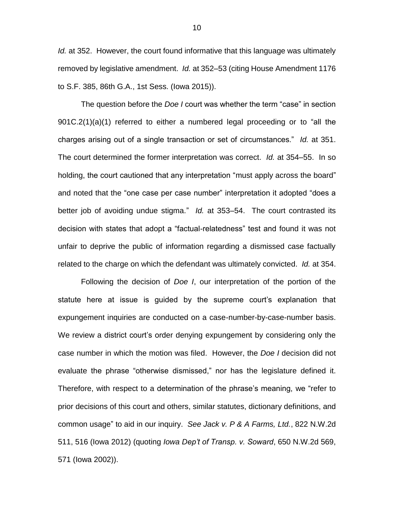*Id.* at 352. However, the court found informative that this language was ultimately removed by legislative amendment. *Id.* at 352–53 (citing House Amendment 1176 to S.F. 385, 86th G.A., 1st Sess. (Iowa 2015)).

The question before the *Doe I* court was whether the term "case" in section 901C.2(1)(a)(1) referred to either a numbered legal proceeding or to "all the charges arising out of a single transaction or set of circumstances." *Id.* at 351. The court determined the former interpretation was correct. *Id.* at 354–55. In so holding, the court cautioned that any interpretation "must apply across the board" and noted that the "one case per case number" interpretation it adopted "does a better job of avoiding undue stigma." *Id.* at 353–54. The court contrasted its decision with states that adopt a "factual-relatedness" test and found it was not unfair to deprive the public of information regarding a dismissed case factually related to the charge on which the defendant was ultimately convicted. *Id.* at 354.

Following the decision of *Doe I*, our interpretation of the portion of the statute here at issue is guided by the supreme court's explanation that expungement inquiries are conducted on a case-number-by-case-number basis. We review a district court's order denying expungement by considering only the case number in which the motion was filed. However, the *Doe I* decision did not evaluate the phrase "otherwise dismissed," nor has the legislature defined it. Therefore, with respect to a determination of the phrase's meaning, we "refer to prior decisions of this court and others, similar statutes, dictionary definitions, and common usage" to aid in our inquiry. *See Jack v. P & A Farms, Ltd.*, 822 N.W.2d 511, 516 (Iowa 2012) (quoting *Iowa Dep't of Transp. v. Soward*, 650 N.W.2d 569, 571 (Iowa 2002)).

10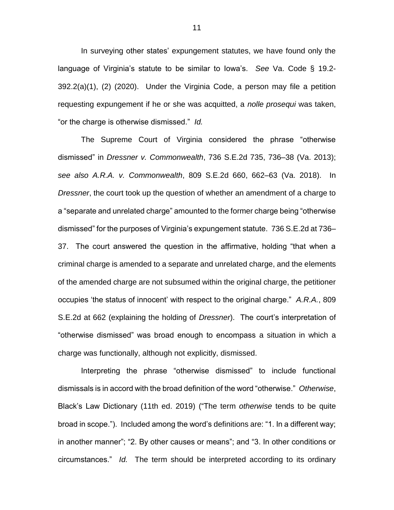In surveying other states' expungement statutes, we have found only the language of Virginia's statute to be similar to Iowa's. *See* Va. Code § 19.2- 392.2(a)(1), (2) (2020). Under the Virginia Code, a person may file a petition requesting expungement if he or she was acquitted, a *nolle prosequi* was taken, "or the charge is otherwise dismissed." *Id.* 

The Supreme Court of Virginia considered the phrase "otherwise dismissed" in *Dressner v. Commonwealth*, 736 S.E.2d 735, 736–38 (Va. 2013); *see also A.R.A. v. Commonwealth*, 809 S.E.2d 660, 662–63 (Va. 2018). In *Dressner*, the court took up the question of whether an amendment of a charge to a "separate and unrelated charge" amounted to the former charge being "otherwise dismissed" for the purposes of Virginia's expungement statute. 736 S.E.2d at 736– 37. The court answered the question in the affirmative, holding "that when a criminal charge is amended to a separate and unrelated charge, and the elements of the amended charge are not subsumed within the original charge, the petitioner occupies 'the status of innocent' with respect to the original charge." *A.R.A.*, 809 S.E.2d at 662 (explaining the holding of *Dressner*). The court's interpretation of "otherwise dismissed" was broad enough to encompass a situation in which a charge was functionally, although not explicitly, dismissed.

Interpreting the phrase "otherwise dismissed" to include functional dismissals is in accord with the broad definition of the word "otherwise." *Otherwise*, Black's Law Dictionary (11th ed. 2019) ("The term *otherwise* tends to be quite broad in scope."). Included among the word's definitions are: "1. In a different way; in another manner"; "2. By other causes or means"; and "3. In other conditions or circumstances." *Id.* The term should be interpreted according to its ordinary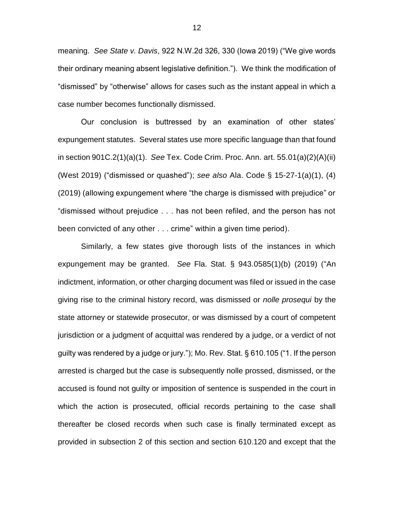meaning. *See State v. Davis*, 922 N.W.2d 326, 330 (Iowa 2019) ("We give words their ordinary meaning absent legislative definition."). We think the modification of "dismissed" by "otherwise" allows for cases such as the instant appeal in which a case number becomes functionally dismissed.

Our conclusion is buttressed by an examination of other states' expungement statutes. Several states use more specific language than that found in section 901C.2(1)(a)(1). *See* Tex. Code Crim. Proc. Ann. art. 55.01(a)(2)(A)(ii) (West 2019) ("dismissed or quashed"); *see also* Ala. Code § 15-27-1(a)(1), (4) (2019) (allowing expungement where "the charge is dismissed with prejudice" or "dismissed without prejudice . . . has not been refiled, and the person has not been convicted of any other . . . crime" within a given time period).

Similarly, a few states give thorough lists of the instances in which expungement may be granted. *See* Fla. Stat. § 943.0585(1)(b) (2019) ("An indictment, information, or other charging document was filed or issued in the case giving rise to the criminal history record, was dismissed or *nolle prosequi* by the state attorney or statewide prosecutor, or was dismissed by a court of competent jurisdiction or a judgment of acquittal was rendered by a judge, or a verdict of not guilty was rendered by a judge or jury."); Mo. Rev. Stat. § 610.105 ("1. If the person arrested is charged but the case is subsequently nolle prossed, dismissed, or the accused is found not guilty or imposition of sentence is suspended in the court in which the action is prosecuted, official records pertaining to the case shall thereafter be closed records when such case is finally terminated except as provided in subsection 2 of this section and section 610.120 and except that the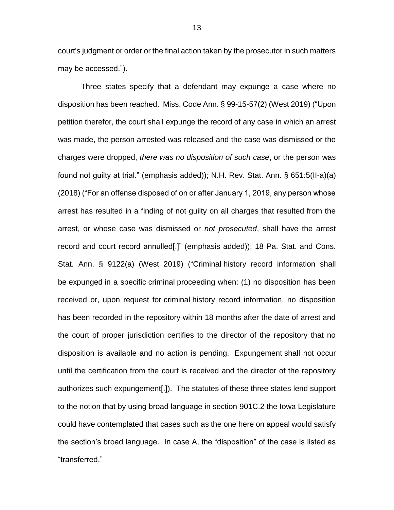court's judgment or order or the final action taken by the prosecutor in such matters may be accessed.").

Three states specify that a defendant may expunge a case where no disposition has been reached. Miss. Code Ann. § 99-15-57(2) (West 2019) ("Upon petition therefor, the court shall expunge the record of any case in which an arrest was made, the person arrested was released and the case was dismissed or the charges were dropped, *there was no disposition of such case*, or the person was found not guilty at trial." (emphasis added)); N.H. Rev. Stat. Ann. § 651:5(II-a)(a) (2018) ("For an offense disposed of on or after January 1, 2019, any person whose arrest has resulted in a finding of not guilty on all charges that resulted from the arrest, or whose case was dismissed or *not prosecuted*, shall have the arrest record and court record annulled[.]" (emphasis added)); 18 Pa. Stat. and Cons. Stat. Ann. § 9122(a) (West 2019) ("Criminal history record information shall be expunged in a specific criminal proceeding when: (1) no disposition has been received or, upon request for criminal history record information, no disposition has been recorded in the repository within 18 months after the date of arrest and the court of proper jurisdiction certifies to the director of the repository that no disposition is available and no action is pending. Expungement shall not occur until the certification from the court is received and the director of the repository authorizes such expungement[.]). The statutes of these three states lend support to the notion that by using broad language in section 901C.2 the Iowa Legislature could have contemplated that cases such as the one here on appeal would satisfy the section's broad language. In case A, the "disposition" of the case is listed as "transferred."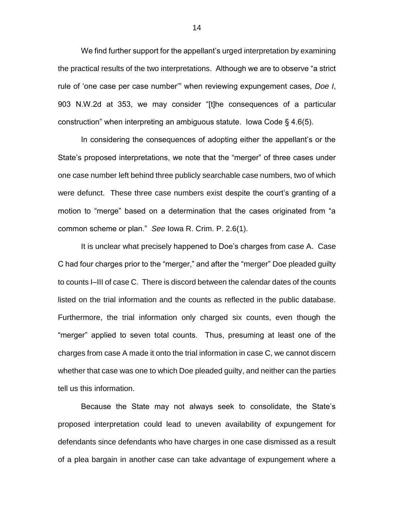We find further support for the appellant's urged interpretation by examining the practical results of the two interpretations. Although we are to observe "a strict rule of 'one case per case number'" when reviewing expungement cases, *Doe I*, 903 N.W.2d at 353, we may consider "[t]he consequences of a particular construction" when interpreting an ambiguous statute. Iowa Code § 4.6(5).

In considering the consequences of adopting either the appellant's or the State's proposed interpretations, we note that the "merger" of three cases under one case number left behind three publicly searchable case numbers, two of which were defunct. These three case numbers exist despite the court's granting of a motion to "merge" based on a determination that the cases originated from "a common scheme or plan." *See* Iowa R. Crim. P. 2.6(1).

It is unclear what precisely happened to Doe's charges from case A. Case C had four charges prior to the "merger," and after the "merger" Doe pleaded guilty to counts I–III of case C. There is discord between the calendar dates of the counts listed on the trial information and the counts as reflected in the public database. Furthermore, the trial information only charged six counts, even though the "merger" applied to seven total counts. Thus, presuming at least one of the charges from case A made it onto the trial information in case C, we cannot discern whether that case was one to which Doe pleaded guilty, and neither can the parties tell us this information.

Because the State may not always seek to consolidate, the State's proposed interpretation could lead to uneven availability of expungement for defendants since defendants who have charges in one case dismissed as a result of a plea bargain in another case can take advantage of expungement where a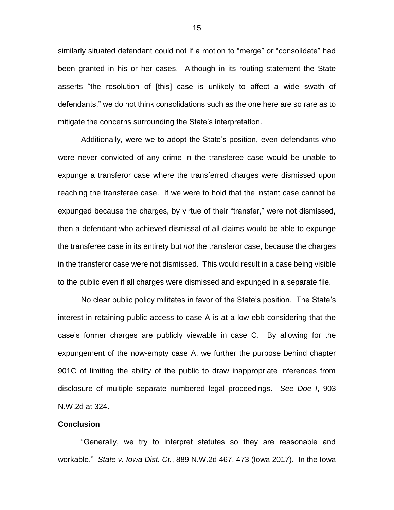similarly situated defendant could not if a motion to "merge" or "consolidate" had been granted in his or her cases. Although in its routing statement the State asserts "the resolution of [this] case is unlikely to affect a wide swath of defendants," we do not think consolidations such as the one here are so rare as to mitigate the concerns surrounding the State's interpretation.

Additionally, were we to adopt the State's position, even defendants who were never convicted of any crime in the transferee case would be unable to expunge a transferor case where the transferred charges were dismissed upon reaching the transferee case. If we were to hold that the instant case cannot be expunged because the charges, by virtue of their "transfer," were not dismissed, then a defendant who achieved dismissal of all claims would be able to expunge the transferee case in its entirety but *not* the transferor case, because the charges in the transferor case were not dismissed. This would result in a case being visible to the public even if all charges were dismissed and expunged in a separate file.

No clear public policy militates in favor of the State's position. The State's interest in retaining public access to case A is at a low ebb considering that the case's former charges are publicly viewable in case C. By allowing for the expungement of the now-empty case A, we further the purpose behind chapter 901C of limiting the ability of the public to draw inappropriate inferences from disclosure of multiple separate numbered legal proceedings. *See Doe I*, 903 N.W.2d at 324.

#### **Conclusion**

"Generally, we try to interpret statutes so they are reasonable and workable." *State v. Iowa Dist. Ct.*, 889 N.W.2d 467, 473 (Iowa 2017). In the Iowa